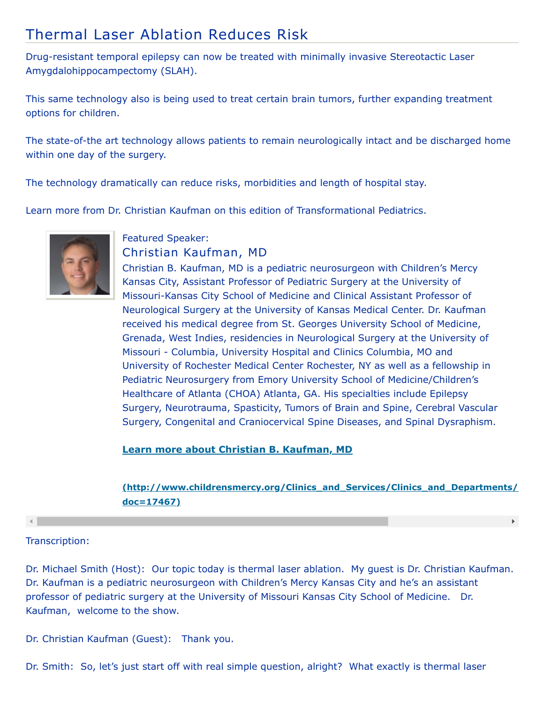# Thermal Laser Ablation Reduces Risk

Drug-resistant temporal epilepsy can now be treated with minimally invasive Stereotactic Laser Amygdalohippocampectomy (SLAH).

This same technology also is being used to treat certain brain tumors, further expanding treatment options for children.

The state-of-the art technology allows patients to remain neurologically intact and be discharged home within one day of the surgery.

The technology dramatically can reduce risks, morbidities and length of hospital stay.

Learn more from Dr. Christian Kaufman on this edition of Transformational Pediatrics.



#### Featured Speaker: Christian Kaufman, MD

Christian B. Kaufman, MD is a pediatric neurosurgeon with Children's Mercy Kansas City, Assistant Professor of Pediatric Surgery at the University of Missouri-Kansas City School of Medicine and Clinical Assistant Professor of Neurological Surgery at the University of Kansas Medical Center. Dr. Kaufman received his medical degree from St. Georges University School of Medicine, Grenada, West Indies, residencies in Neurological Surgery at the University of Missouri - Columbia, University Hospital and Clinics Columbia, MO and University of Rochester Medical Center Rochester, NY as well as a fellowship in Pediatric Neurosurgery from Emory University School of Medicine/Children's Healthcare of Atlanta (CHOA) Atlanta, GA. His specialties include Epilepsy Surgery, Neurotrauma, Spasticity, Tumors of Brain and Spine, Cerebral Vascular Surgery, Congenital and Craniocervical Spine Diseases, and Spinal Dysraphism.

**Learn more about Christian B. Kaufman, MD**

### **[\(http://www.childrensmercy.org/Clinics\\_and\\_Services/Clinics\\_and\\_Departments/](http://www.childrensmercy.org/Clinics_and_Services/Clinics_and_Departments/Neurosurgery/Faculty_and_Staff/?doc=17467) doc=17467)**

 $\blacktriangleright$ 

## Transcription:

 $\left| \cdot \right|$ 

Dr. Michael Smith (Host): Our topic today is thermal laser ablation. My guest is Dr. Christian Kaufman. Dr. Kaufman is a pediatric neurosurgeon with Children's Mercy Kansas City and he's an assistant professor of pediatric surgery at the University of Missouri Kansas City School of Medicine. Dr. Kaufman, welcome to the show.

Dr. Christian Kaufman (Guest): Thank you.

Dr. Smith: So, let's just start off with real simple question, alright? What exactly is thermal laser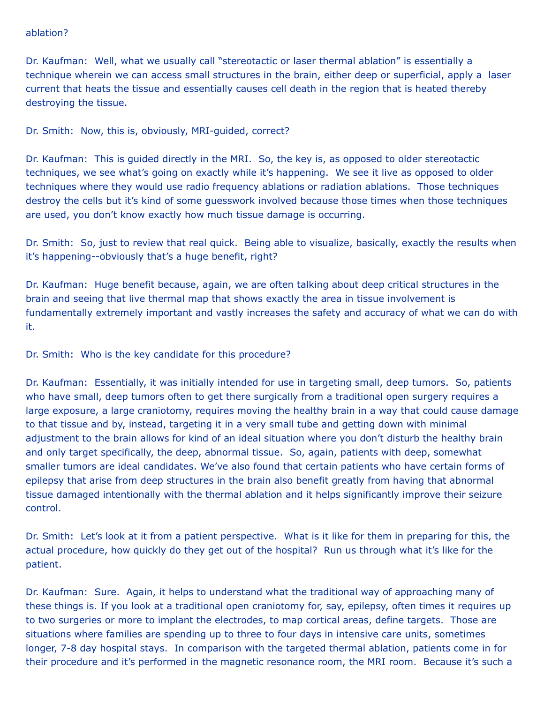#### ablation?

Dr. Kaufman: Well, what we usually call "stereotactic or laser thermal ablation" is essentially a technique wherein we can access small structures in the brain, either deep or superficial, apply a laser current that heats the tissue and essentially causes cell death in the region that is heated thereby destroying the tissue.

Dr. Smith: Now, this is, obviously, MRI-guided, correct?

Dr. Kaufman: This is guided directly in the MRI. So, the key is, as opposed to older stereotactic techniques, we see what's going on exactly while it's happening. We see it live as opposed to older techniques where they would use radio frequency ablations or radiation ablations. Those techniques destroy the cells but it's kind of some guesswork involved because those times when those techniques are used, you don't know exactly how much tissue damage is occurring.

Dr. Smith: So, just to review that real quick. Being able to visualize, basically, exactly the results when it's happening--obviously that's a huge benefit, right?

Dr. Kaufman: Huge benefit because, again, we are often talking about deep critical structures in the brain and seeing that live thermal map that shows exactly the area in tissue involvement is fundamentally extremely important and vastly increases the safety and accuracy of what we can do with it.

Dr. Smith: Who is the key candidate for this procedure?

Dr. Kaufman: Essentially, it was initially intended for use in targeting small, deep tumors. So, patients who have small, deep tumors often to get there surgically from a traditional open surgery requires a large exposure, a large craniotomy, requires moving the healthy brain in a way that could cause damage to that tissue and by, instead, targeting it in a very small tube and getting down with minimal adjustment to the brain allows for kind of an ideal situation where you don't disturb the healthy brain and only target specifically, the deep, abnormal tissue. So, again, patients with deep, somewhat smaller tumors are ideal candidates. We've also found that certain patients who have certain forms of epilepsy that arise from deep structures in the brain also benefit greatly from having that abnormal tissue damaged intentionally with the thermal ablation and it helps significantly improve their seizure control.

Dr. Smith: Let's look at it from a patient perspective. What is it like for them in preparing for this, the actual procedure, how quickly do they get out of the hospital? Run us through what it's like for the patient.

Dr. Kaufman: Sure. Again, it helps to understand what the traditional way of approaching many of these things is. If you look at a traditional open craniotomy for, say, epilepsy, often times it requires up to two surgeries or more to implant the electrodes, to map cortical areas, define targets. Those are situations where families are spending up to three to four days in intensive care units, sometimes longer, 7-8 day hospital stays. In comparison with the targeted thermal ablation, patients come in for their procedure and it's performed in the magnetic resonance room, the MRI room. Because it's such a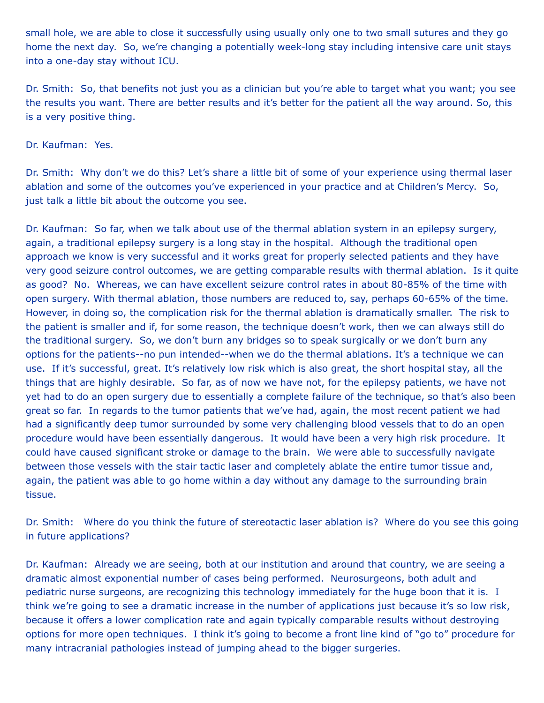small hole, we are able to close it successfully using usually only one to two small sutures and they go home the next day. So, we're changing a potentially week-long stay including intensive care unit stays into a one-day stay without ICU.

Dr. Smith: So, that benefits not just you as a clinician but you're able to target what you want; you see the results you want. There are better results and it's better for the patient all the way around. So, this is a very positive thing.

Dr. Kaufman: Yes.

Dr. Smith: Why don't we do this? Let's share a little bit of some of your experience using thermal laser ablation and some of the outcomes you've experienced in your practice and at Children's Mercy. So, just talk a little bit about the outcome you see.

Dr. Kaufman: So far, when we talk about use of the thermal ablation system in an epilepsy surgery, again, a traditional epilepsy surgery is a long stay in the hospital. Although the traditional open approach we know is very successful and it works great for properly selected patients and they have very good seizure control outcomes, we are getting comparable results with thermal ablation. Is it quite as good? No. Whereas, we can have excellent seizure control rates in about 80-85% of the time with open surgery. With thermal ablation, those numbers are reduced to, say, perhaps 60-65% of the time. However, in doing so, the complication risk for the thermal ablation is dramatically smaller. The risk to the patient is smaller and if, for some reason, the technique doesn't work, then we can always still do the traditional surgery. So, we don't burn any bridges so to speak surgically or we don't burn any options for the patients--no pun intended--when we do the thermal ablations. It's a technique we can use. If it's successful, great. It's relatively low risk which is also great, the short hospital stay, all the things that are highly desirable. So far, as of now we have not, for the epilepsy patients, we have not yet had to do an open surgery due to essentially a complete failure of the technique, so that's also been great so far. In regards to the tumor patients that we've had, again, the most recent patient we had had a significantly deep tumor surrounded by some very challenging blood vessels that to do an open procedure would have been essentially dangerous. It would have been a very high risk procedure. It could have caused significant stroke or damage to the brain. We were able to successfully navigate between those vessels with the stair tactic laser and completely ablate the entire tumor tissue and, again, the patient was able to go home within a day without any damage to the surrounding brain tissue.

Dr. Smith: Where do you think the future of stereotactic laser ablation is? Where do you see this going in future applications?

Dr. Kaufman: Already we are seeing, both at our institution and around that country, we are seeing a dramatic almost exponential number of cases being performed. Neurosurgeons, both adult and pediatric nurse surgeons, are recognizing this technology immediately for the huge boon that it is. I think we're going to see a dramatic increase in the number of applications just because it's so low risk, because it offers a lower complication rate and again typically comparable results without destroying options for more open techniques. I think it's going to become a front line kind of "go to" procedure for many intracranial pathologies instead of jumping ahead to the bigger surgeries.